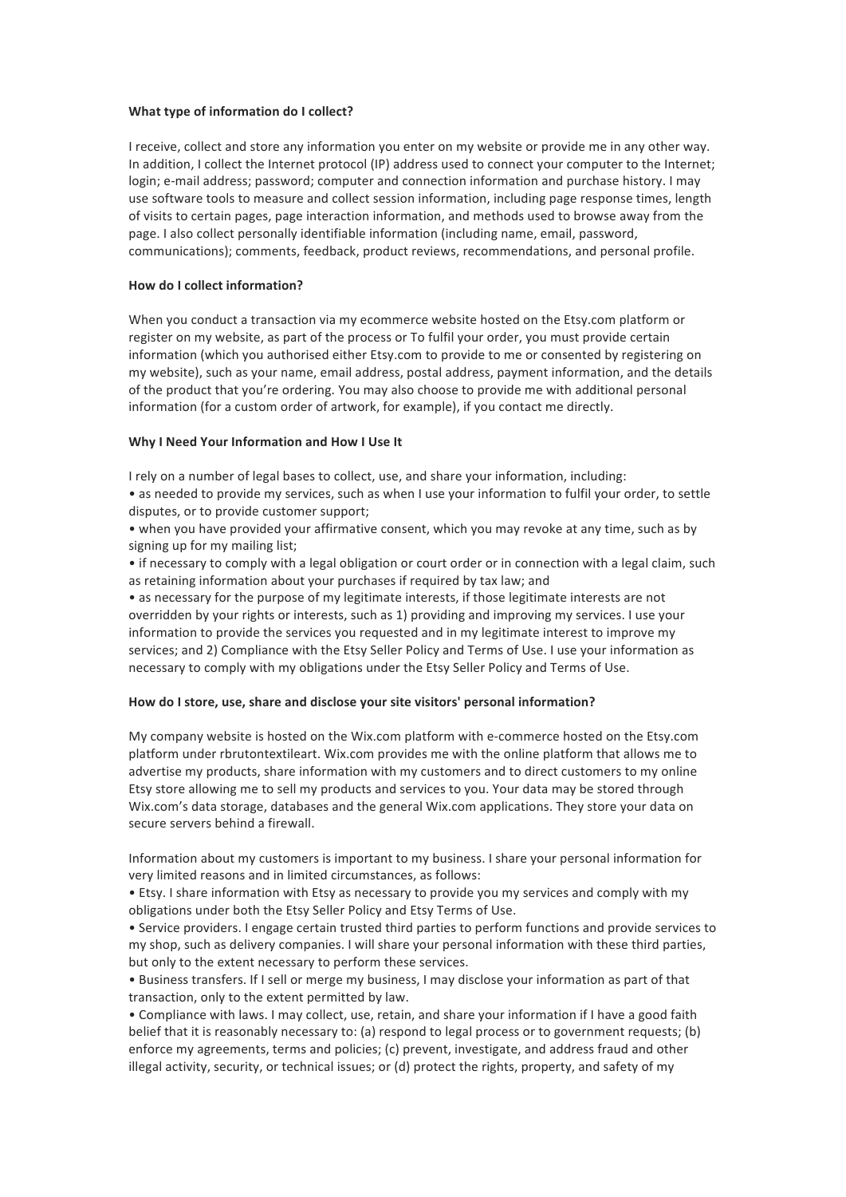## **What type of information do I collect?**

I receive, collect and store any information you enter on my website or provide me in any other way. In addition, I collect the Internet protocol (IP) address used to connect your computer to the Internet: login; e-mail address; password; computer and connection information and purchase history. I may use software tools to measure and collect session information, including page response times, length of visits to certain pages, page interaction information, and methods used to browse away from the page. I also collect personally identifiable information (including name, email, password, communications); comments, feedback, product reviews, recommendations, and personal profile.

# **How do I collect information?**

When you conduct a transaction via my ecommerce website hosted on the Etsy.com platform or register on my website, as part of the process or To fulfil your order, you must provide certain information (which you authorised either Etsy.com to provide to me or consented by registering on my website), such as your name, email address, postal address, payment information, and the details of the product that you're ordering. You may also choose to provide me with additional personal information (for a custom order of artwork, for example), if you contact me directly.

# **Why I Need Your Information and How I Use It**

I rely on a number of legal bases to collect, use, and share your information, including:

• as needed to provide my services, such as when I use your information to fulfil your order, to settle disputes, or to provide customer support;

• when you have provided your affirmative consent, which you may revoke at any time, such as by signing up for my mailing list;

• if necessary to comply with a legal obligation or court order or in connection with a legal claim, such as retaining information about your purchases if required by tax law; and

• as necessary for the purpose of my legitimate interests, if those legitimate interests are not overridden by your rights or interests, such as 1) providing and improving my services. I use your information to provide the services you requested and in my legitimate interest to improve my services; and 2) Compliance with the Etsy Seller Policy and Terms of Use. I use your information as necessary to comply with my obligations under the Etsy Seller Policy and Terms of Use.

# How do I store, use, share and disclose your site visitors' personal information?

My company website is hosted on the Wix.com platform with e-commerce hosted on the Etsy.com platform under rbrutontextileart. Wix.com provides me with the online platform that allows me to advertise my products, share information with my customers and to direct customers to my online Etsy store allowing me to sell my products and services to you. Your data may be stored through Wix.com's data storage, databases and the general Wix.com applications. They store your data on secure servers behind a firewall.

Information about my customers is important to my business. I share your personal information for very limited reasons and in limited circumstances, as follows:

• Etsy. I share information with Etsy as necessary to provide you my services and comply with my obligations under both the Etsy Seller Policy and Etsy Terms of Use.

• Service providers. I engage certain trusted third parties to perform functions and provide services to my shop, such as delivery companies. I will share your personal information with these third parties, but only to the extent necessary to perform these services.

• Business transfers. If I sell or merge my business, I may disclose your information as part of that transaction, only to the extent permitted by law.

• Compliance with laws. I may collect, use, retain, and share your information if I have a good faith belief that it is reasonably necessary to: (a) respond to legal process or to government requests; (b) enforce my agreements, terms and policies; (c) prevent, investigate, and address fraud and other illegal activity, security, or technical issues; or (d) protect the rights, property, and safety of my